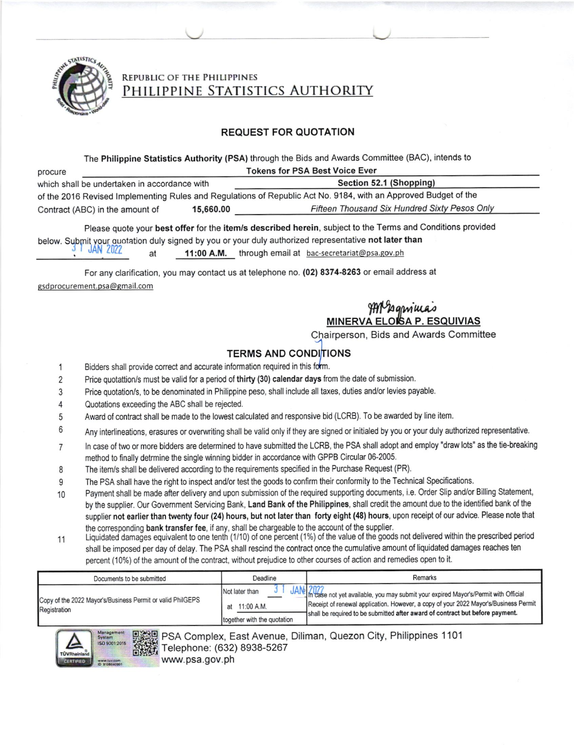

# PHILIPPINE STATISTICS AUTHORITY REPUBLIC OF THE PHILIPPINES

### REQUEST FOR QUOTATION

### The Philippine Statistics Authority (PSA) through the Bids and Awards Committee (BAC), intends to

| procure                                                                                                         | <b>Tokens for PSA Best Voice Ever</b> |                                               |  |  |  |  |
|-----------------------------------------------------------------------------------------------------------------|---------------------------------------|-----------------------------------------------|--|--|--|--|
| which shall be undertaken in accordance with                                                                    |                                       | Section 52.1 (Shopping)                       |  |  |  |  |
| of the 2016 Revised Implementing Rules and Regulations of Republic Act No. 9184, with an Approved Budget of the |                                       |                                               |  |  |  |  |
| Contract (ABC) in the amount of                                                                                 | 15,660.00                             | Fifteen Thousand Six Hundred Sixty Pesos Only |  |  |  |  |

below. Submit your quotation duly signed by you or your duly authorized representative not later than at l1:00 A,M. through email at bac-secretariat@psa.gov.ph Please quote your best offer for the item/s described herein, subject to the Terms and Conditions provided

For any clarification, you may contact us at telephone no. (02) 8374-8263 or email address at gsdprocurement.psa@gmail.com

#### MINERVA ELO ltlA.o g<br>A ELOISA P. ESQUIVIAS

C\_Iairperson, Bids and Awards Committee

## **TERMS AND CONDITIONS**

- Bidders shall provide correct and accurate information required in this form. 1
- Price quotattion/s must be valid for a period of thirty (30) calendar days from the date of submission. 2
- Price quotation/s, to be denominated in Philippine peso, shall include all taxes, duties and/or levies payable. 3
- Quotations exceeding the ABC shall be relected. 4
- 5 Award of contract shall be made to the lowest calculated and responsive bid (LCRB). To be awarded by line item.
- Any interlineations, erasures or overwriting shall be valid only if they are signed or initialed by you or your duly authorized representative. 6
- ln case of two or more bidders are determined to have submitted the LCRB, the PSA shall adopt and employ "draw lots" as the tie-breaking method to linally detrmine the single winning bidder in accordance with GPPB Circular 06-2005. 7
- The item/s shall be delivered according to the requirements specified in the Purchase Request (PR). I
- The PSA shall have the right to inspect and/or test the goods to confirm their conformity to the Technical Specifications. o
- Payment shall be made after delivery and upon submission of the required supporting documents, i.e. Order Slip and/or Billing Statement, by the supplier. Our Government Servicing Bank, Land Bank of the Philippines, shall credit the amount due to the identified bank of the supplier not earlier than twenty four (24) hours, but not later than torty eight (48) hours, upon receipt of our advice. Please note that the corresponding bank transfer fee, if any, shall be chargeable to the account of the supplier. 10
- Liquidated damages equivalent to one tenth (1/10) of one percent (1%) of the value of the goods not delivered within the prescribed period shall be imposed per day of delay. The PSA shall rescind the contract once the cumulative amount of liquidated damages reaches ten percent (10%) of the amount of the contract, without prejudice to other courses of action and remedies open to it. 1'1

| Documents to be submitted                                                  | Deadline                                                       | Remarks                                                                                                                                                                                                                                                                       |  |  |  |
|----------------------------------------------------------------------------|----------------------------------------------------------------|-------------------------------------------------------------------------------------------------------------------------------------------------------------------------------------------------------------------------------------------------------------------------------|--|--|--|
| Copy of the 2022 Mayor's/Business Permit or valid PhilGEPS<br>Registration | Not later than<br>at 11:00 A.M.<br>together with the quotation | JANE 2022<br>JANE 2023 e not yet available, you may submit your expired Mayor's/Permit with Official<br>Receipt of renewal application. However, a copy of your 2022 Mayor's/Business Permit<br>shall be required to be submitted after award of contract but before payment. |  |  |  |



PSA Complex, East Avenue, Diliman, Quezon City, Philippines 1 101 Telephone: (632) 8938-5267 www.psa.gov.ph **EX:30** fi'trFl